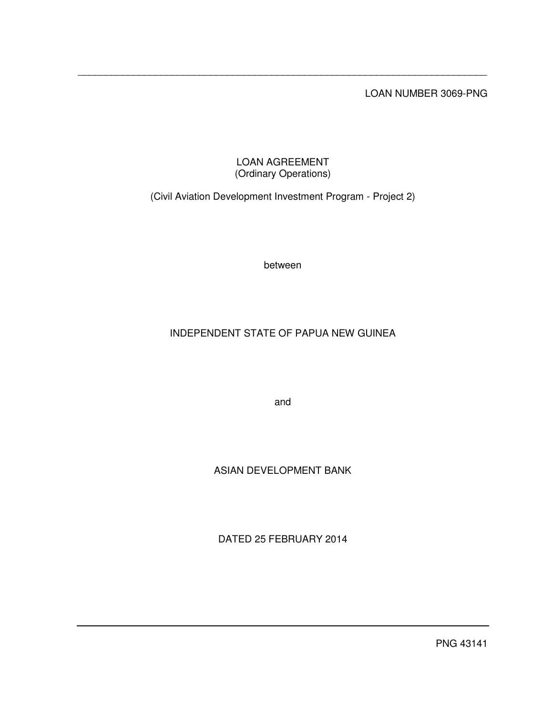LOAN NUMBER 3069-PNG

### LOAN AGREEMENT (Ordinary Operations)

\_\_\_\_\_\_\_\_\_\_\_\_\_\_\_\_\_\_\_\_\_\_\_\_\_\_\_\_\_\_\_\_\_\_\_\_\_\_\_\_\_\_\_\_\_\_\_\_\_\_\_\_\_\_\_\_\_\_\_\_\_\_\_\_\_\_\_\_\_\_\_\_\_\_

(Civil Aviation Development Investment Program - Project 2)

between

# INDEPENDENT STATE OF PAPUA NEW GUINEA

and

# ASIAN DEVELOPMENT BANK

DATED 25 FEBRUARY 2014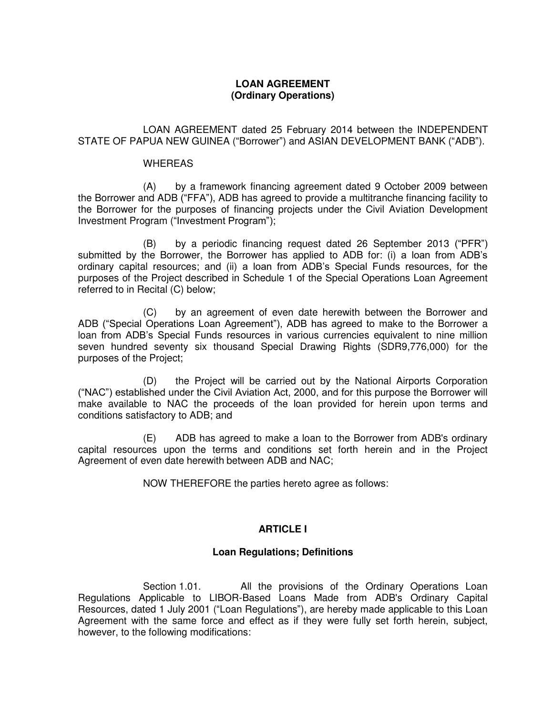### **LOAN AGREEMENT (Ordinary Operations)**

 LOAN AGREEMENT dated 25 February 2014 between the INDEPENDENT STATE OF PAPUA NEW GUINEA ("Borrower") and ASIAN DEVELOPMENT BANK ("ADB").

#### WHEREAS

 (A) by a framework financing agreement dated 9 October 2009 between the Borrower and ADB ("FFA"), ADB has agreed to provide a multitranche financing facility to the Borrower for the purposes of financing projects under the Civil Aviation Development Investment Program ("Investment Program");

(B) by a periodic financing request dated 26 September 2013 ("PFR") submitted by the Borrower, the Borrower has applied to ADB for: (i) a loan from ADB's ordinary capital resources; and (ii) a loan from ADB's Special Funds resources, for the purposes of the Project described in Schedule 1 of the Special Operations Loan Agreement referred to in Recital (C) below;

 (C) by an agreement of even date herewith between the Borrower and ADB ("Special Operations Loan Agreement"), ADB has agreed to make to the Borrower a loan from ADB's Special Funds resources in various currencies equivalent to nine million seven hundred seventy six thousand Special Drawing Rights (SDR9,776,000) for the purposes of the Project;

 (D) the Project will be carried out by the National Airports Corporation ("NAC") established under the Civil Aviation Act, 2000, and for this purpose the Borrower will make available to NAC the proceeds of the loan provided for herein upon terms and conditions satisfactory to ADB; and

 (E) ADB has agreed to make a loan to the Borrower from ADB's ordinary capital resources upon the terms and conditions set forth herein and in the Project Agreement of even date herewith between ADB and NAC;

NOW THEREFORE the parties hereto agree as follows:

### **ARTICLE I**

### **Loan Regulations; Definitions**

Section 1.01. All the provisions of the Ordinary Operations Loan Regulations Applicable to LIBOR-Based Loans Made from ADB's Ordinary Capital Resources, dated 1 July 2001 ("Loan Regulations"), are hereby made applicable to this Loan Agreement with the same force and effect as if they were fully set forth herein, subject, however, to the following modifications: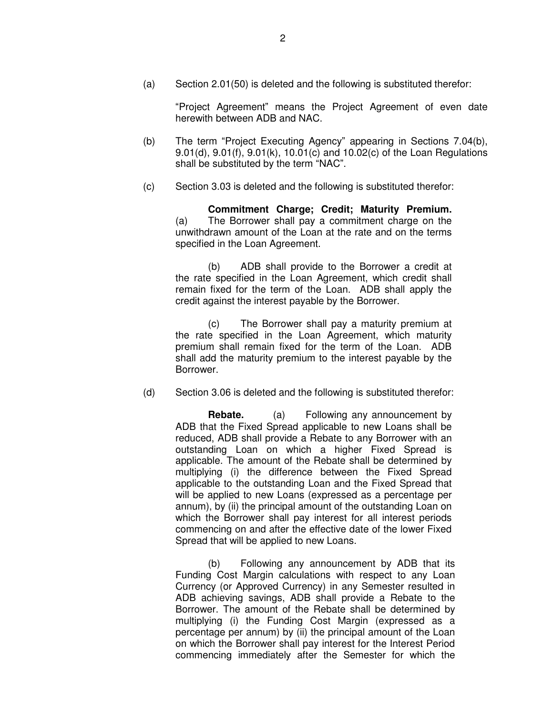(a) Section 2.01(50) is deleted and the following is substituted therefor:

"Project Agreement" means the Project Agreement of even date herewith between ADB and NAC.

- (b) The term "Project Executing Agency" appearing in Sections 7.04(b), 9.01(d), 9.01(f), 9.01(k), 10.01(c) and 10.02(c) of the Loan Regulations shall be substituted by the term "NAC".
- (c) Section 3.03 is deleted and the following is substituted therefor:

**Commitment Charge; Credit; Maturity Premium.**  (a) The Borrower shall pay a commitment charge on the unwithdrawn amount of the Loan at the rate and on the terms specified in the Loan Agreement.

(b) ADB shall provide to the Borrower a credit at the rate specified in the Loan Agreement, which credit shall remain fixed for the term of the Loan. ADB shall apply the credit against the interest payable by the Borrower.

(c) The Borrower shall pay a maturity premium at the rate specified in the Loan Agreement, which maturity premium shall remain fixed for the term of the Loan. ADB shall add the maturity premium to the interest payable by the Borrower.

(d) Section 3.06 is deleted and the following is substituted therefor:

**Rebate.** (a) Following any announcement by ADB that the Fixed Spread applicable to new Loans shall be reduced, ADB shall provide a Rebate to any Borrower with an outstanding Loan on which a higher Fixed Spread is applicable. The amount of the Rebate shall be determined by multiplying (i) the difference between the Fixed Spread applicable to the outstanding Loan and the Fixed Spread that will be applied to new Loans (expressed as a percentage per annum), by (ii) the principal amount of the outstanding Loan on which the Borrower shall pay interest for all interest periods commencing on and after the effective date of the lower Fixed Spread that will be applied to new Loans.

(b) Following any announcement by ADB that its Funding Cost Margin calculations with respect to any Loan Currency (or Approved Currency) in any Semester resulted in ADB achieving savings, ADB shall provide a Rebate to the Borrower. The amount of the Rebate shall be determined by multiplying (i) the Funding Cost Margin (expressed as a percentage per annum) by (ii) the principal amount of the Loan on which the Borrower shall pay interest for the Interest Period commencing immediately after the Semester for which the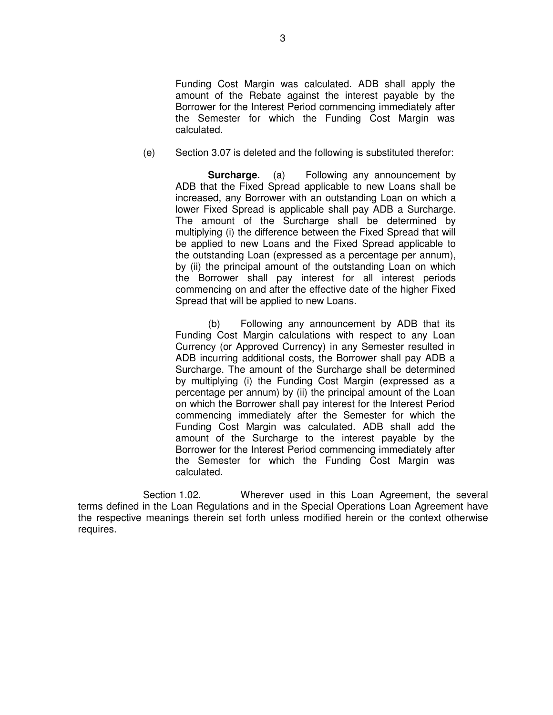Funding Cost Margin was calculated. ADB shall apply the amount of the Rebate against the interest payable by the Borrower for the Interest Period commencing immediately after the Semester for which the Funding Cost Margin was calculated.

(e) Section 3.07 is deleted and the following is substituted therefor:

**Surcharge.** (a) Following any announcement by ADB that the Fixed Spread applicable to new Loans shall be increased, any Borrower with an outstanding Loan on which a lower Fixed Spread is applicable shall pay ADB a Surcharge. The amount of the Surcharge shall be determined by multiplying (i) the difference between the Fixed Spread that will be applied to new Loans and the Fixed Spread applicable to the outstanding Loan (expressed as a percentage per annum), by (ii) the principal amount of the outstanding Loan on which the Borrower shall pay interest for all interest periods commencing on and after the effective date of the higher Fixed Spread that will be applied to new Loans.

(b) Following any announcement by ADB that its Funding Cost Margin calculations with respect to any Loan Currency (or Approved Currency) in any Semester resulted in ADB incurring additional costs, the Borrower shall pay ADB a Surcharge. The amount of the Surcharge shall be determined by multiplying (i) the Funding Cost Margin (expressed as a percentage per annum) by (ii) the principal amount of the Loan on which the Borrower shall pay interest for the Interest Period commencing immediately after the Semester for which the Funding Cost Margin was calculated. ADB shall add the amount of the Surcharge to the interest payable by the Borrower for the Interest Period commencing immediately after the Semester for which the Funding Cost Margin was calculated.

 Section 1.02. Wherever used in this Loan Agreement, the several terms defined in the Loan Regulations and in the Special Operations Loan Agreement have the respective meanings therein set forth unless modified herein or the context otherwise requires.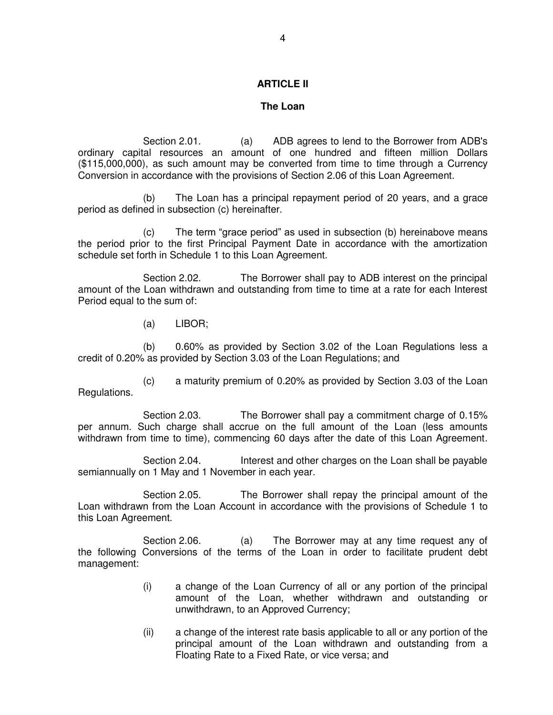#### **ARTICLE II**

#### **The Loan**

 Section 2.01. (a) ADB agrees to lend to the Borrower from ADB's ordinary capital resources an amount of one hundred and fifteen million Dollars (\$115,000,000), as such amount may be converted from time to time through a Currency Conversion in accordance with the provisions of Section 2.06 of this Loan Agreement.

(b) The Loan has a principal repayment period of 20 years, and a grace period as defined in subsection (c) hereinafter.

(c) The term "grace period" as used in subsection (b) hereinabove means the period prior to the first Principal Payment Date in accordance with the amortization schedule set forth in Schedule 1 to this Loan Agreement.

Section 2.02. The Borrower shall pay to ADB interest on the principal amount of the Loan withdrawn and outstanding from time to time at a rate for each Interest Period equal to the sum of:

(a) LIBOR;

(b) 0.60% as provided by Section 3.02 of the Loan Regulations less a credit of 0.20% as provided by Section 3.03 of the Loan Regulations; and

(c) a maturity premium of 0.20% as provided by Section 3.03 of the Loan Regulations.

 Section 2.03. The Borrower shall pay a commitment charge of 0.15% per annum. Such charge shall accrue on the full amount of the Loan (less amounts withdrawn from time to time), commencing 60 days after the date of this Loan Agreement.

Section 2.04. Interest and other charges on the Loan shall be payable semiannually on 1 May and 1 November in each year.

 Section 2.05. The Borrower shall repay the principal amount of the Loan withdrawn from the Loan Account in accordance with the provisions of Schedule 1 to this Loan Agreement.

Section 2.06. (a) The Borrower may at any time request any of the following Conversions of the terms of the Loan in order to facilitate prudent debt management:

- (i) a change of the Loan Currency of all or any portion of the principal amount of the Loan, whether withdrawn and outstanding or unwithdrawn, to an Approved Currency;
- (ii) a change of the interest rate basis applicable to all or any portion of the principal amount of the Loan withdrawn and outstanding from a Floating Rate to a Fixed Rate, or vice versa; and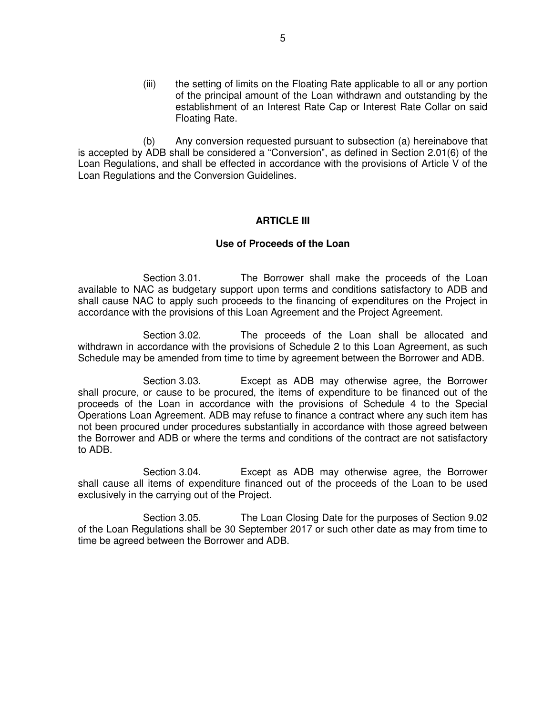(iii) the setting of limits on the Floating Rate applicable to all or any portion of the principal amount of the Loan withdrawn and outstanding by the establishment of an Interest Rate Cap or Interest Rate Collar on said Floating Rate.

(b) Any conversion requested pursuant to subsection (a) hereinabove that is accepted by ADB shall be considered a "Conversion", as defined in Section 2.01(6) of the Loan Regulations, and shall be effected in accordance with the provisions of Article V of the Loan Regulations and the Conversion Guidelines.

#### **ARTICLE III**

#### **Use of Proceeds of the Loan**

 Section 3.01. The Borrower shall make the proceeds of the Loan available to NAC as budgetary support upon terms and conditions satisfactory to ADB and shall cause NAC to apply such proceeds to the financing of expenditures on the Project in accordance with the provisions of this Loan Agreement and the Project Agreement.

 Section 3.02. The proceeds of the Loan shall be allocated and withdrawn in accordance with the provisions of Schedule 2 to this Loan Agreement, as such Schedule may be amended from time to time by agreement between the Borrower and ADB.

 Section 3.03. Except as ADB may otherwise agree, the Borrower shall procure, or cause to be procured, the items of expenditure to be financed out of the proceeds of the Loan in accordance with the provisions of Schedule 4 to the Special Operations Loan Agreement. ADB may refuse to finance a contract where any such item has not been procured under procedures substantially in accordance with those agreed between the Borrower and ADB or where the terms and conditions of the contract are not satisfactory to ADB.

 Section 3.04. Except as ADB may otherwise agree, the Borrower shall cause all items of expenditure financed out of the proceeds of the Loan to be used exclusively in the carrying out of the Project.

 Section 3.05. The Loan Closing Date for the purposes of Section 9.02 of the Loan Regulations shall be 30 September 2017 or such other date as may from time to time be agreed between the Borrower and ADB.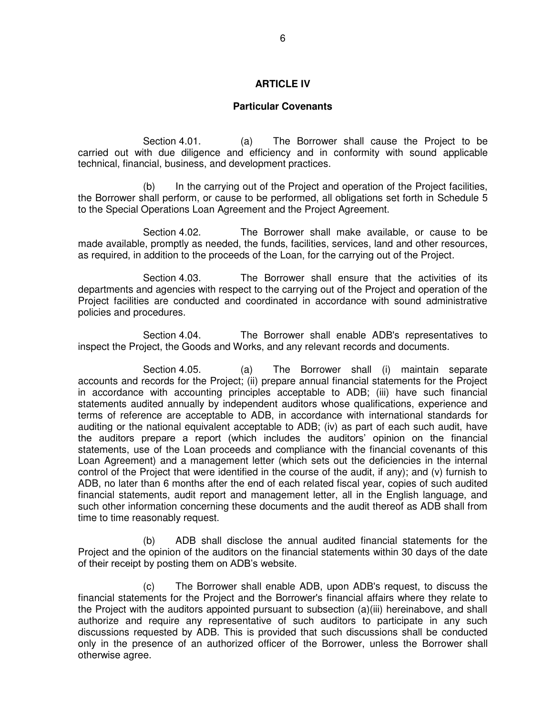#### **ARTICLE IV**

#### **Particular Covenants**

 Section 4.01. (a) The Borrower shall cause the Project to be carried out with due diligence and efficiency and in conformity with sound applicable technical, financial, business, and development practices.

 (b) In the carrying out of the Project and operation of the Project facilities, the Borrower shall perform, or cause to be performed, all obligations set forth in Schedule 5 to the Special Operations Loan Agreement and the Project Agreement.

 Section 4.02. The Borrower shall make available, or cause to be made available, promptly as needed, the funds, facilities, services, land and other resources, as required, in addition to the proceeds of the Loan, for the carrying out of the Project.

 Section 4.03. The Borrower shall ensure that the activities of its departments and agencies with respect to the carrying out of the Project and operation of the Project facilities are conducted and coordinated in accordance with sound administrative policies and procedures.

 Section 4.04. The Borrower shall enable ADB's representatives to inspect the Project, the Goods and Works, and any relevant records and documents.

 Section 4.05. (a) The Borrower shall (i) maintain separate accounts and records for the Project; (ii) prepare annual financial statements for the Project in accordance with accounting principles acceptable to ADB; (iii) have such financial statements audited annually by independent auditors whose qualifications, experience and terms of reference are acceptable to ADB, in accordance with international standards for auditing or the national equivalent acceptable to ADB; (iv) as part of each such audit, have the auditors prepare a report (which includes the auditors' opinion on the financial statements, use of the Loan proceeds and compliance with the financial covenants of this Loan Agreement) and a management letter (which sets out the deficiencies in the internal control of the Project that were identified in the course of the audit, if any); and (v) furnish to ADB, no later than 6 months after the end of each related fiscal year, copies of such audited financial statements, audit report and management letter, all in the English language, and such other information concerning these documents and the audit thereof as ADB shall from time to time reasonably request.

 (b) ADB shall disclose the annual audited financial statements for the Project and the opinion of the auditors on the financial statements within 30 days of the date of their receipt by posting them on ADB's website.

 (c) The Borrower shall enable ADB, upon ADB's request, to discuss the financial statements for the Project and the Borrower's financial affairs where they relate to the Project with the auditors appointed pursuant to subsection (a)(iii) hereinabove, and shall authorize and require any representative of such auditors to participate in any such discussions requested by ADB. This is provided that such discussions shall be conducted only in the presence of an authorized officer of the Borrower, unless the Borrower shall otherwise agree.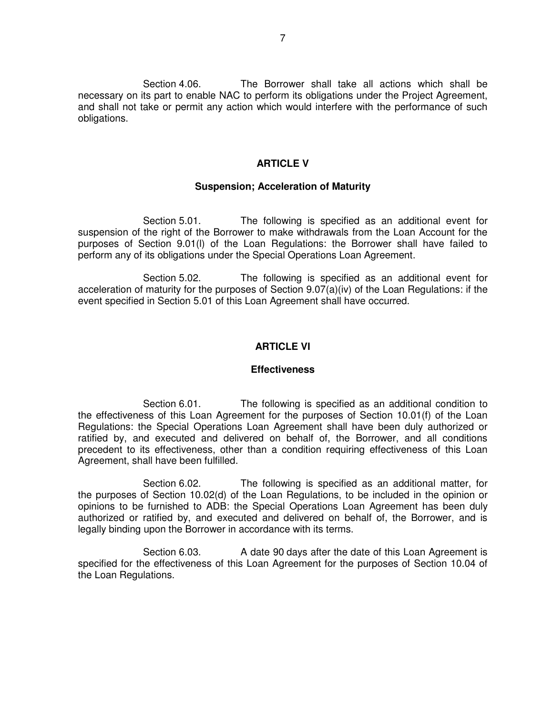Section 4.06. The Borrower shall take all actions which shall be necessary on its part to enable NAC to perform its obligations under the Project Agreement, and shall not take or permit any action which would interfere with the performance of such obligations.

#### **ARTICLE V**

### **Suspension; Acceleration of Maturity**

 Section 5.01. The following is specified as an additional event for suspension of the right of the Borrower to make withdrawals from the Loan Account for the purposes of Section 9.01(l) of the Loan Regulations: the Borrower shall have failed to perform any of its obligations under the Special Operations Loan Agreement.

 Section 5.02. The following is specified as an additional event for acceleration of maturity for the purposes of Section 9.07(a)(iv) of the Loan Regulations: if the event specified in Section 5.01 of this Loan Agreement shall have occurred.

#### **ARTICLE VI**

#### **Effectiveness**

 Section 6.01. The following is specified as an additional condition to the effectiveness of this Loan Agreement for the purposes of Section 10.01(f) of the Loan Regulations: the Special Operations Loan Agreement shall have been duly authorized or ratified by, and executed and delivered on behalf of, the Borrower, and all conditions precedent to its effectiveness, other than a condition requiring effectiveness of this Loan Agreement, shall have been fulfilled.

 Section 6.02. The following is specified as an additional matter, for the purposes of Section 10.02(d) of the Loan Regulations, to be included in the opinion or opinions to be furnished to ADB: the Special Operations Loan Agreement has been duly authorized or ratified by, and executed and delivered on behalf of, the Borrower, and is legally binding upon the Borrower in accordance with its terms.

 Section 6.03. A date 90 days after the date of this Loan Agreement is specified for the effectiveness of this Loan Agreement for the purposes of Section 10.04 of the Loan Regulations.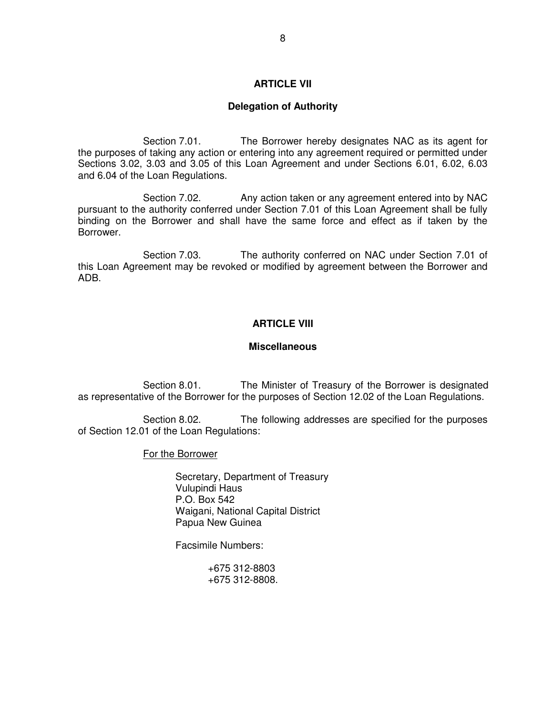#### **ARTICLE VII**

#### **Delegation of Authority**

 Section 7.01. The Borrower hereby designates NAC as its agent for the purposes of taking any action or entering into any agreement required or permitted under Sections 3.02, 3.03 and 3.05 of this Loan Agreement and under Sections 6.01, 6.02, 6.03 and 6.04 of the Loan Regulations.

Section 7.02. Any action taken or any agreement entered into by NAC pursuant to the authority conferred under Section 7.01 of this Loan Agreement shall be fully binding on the Borrower and shall have the same force and effect as if taken by the Borrower.

 Section 7.03. The authority conferred on NAC under Section 7.01 of this Loan Agreement may be revoked or modified by agreement between the Borrower and ADB.

#### **ARTICLE VIII**

#### **Miscellaneous**

 Section 8.01. The Minister of Treasury of the Borrower is designated as representative of the Borrower for the purposes of Section 12.02 of the Loan Regulations.

 Section 8.02. The following addresses are specified for the purposes of Section 12.01 of the Loan Regulations:

### For the Borrower

 Secretary, Department of Treasury Vulupindi Haus P.O. Box 542 Waigani, National Capital District Papua New Guinea

Facsimile Numbers:

 +675 312-8803 +675 312-8808.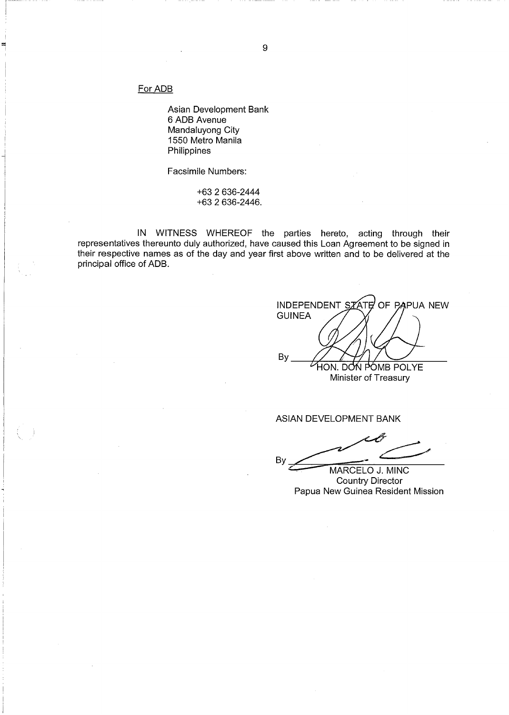For ADB

Asian Development Bank 6 ADB Avenue Mandaluyong City 1550 Metro Manila Philippines

Facsimile Numbers:

+63 2 636-2444 +63 2 636-2446.

IN WITNESS WHEREOF the parties hereto, acting through their<br>representatives thereunto duly authorized, have caused this Loan Agreement to be signed in their respective names as of the day and year first above written and to be delivered at the principal office of ADB.

OF PAPUA NEW **INDEPENDENT SZ** ΆΤ **GUINEA** By HON. DON POMB POLYE Minister of Treasury

ASIAN DEVELOPMENT BANK

By

MARCELO J. MINC **Country Director** Papua New Guinea Resident Mission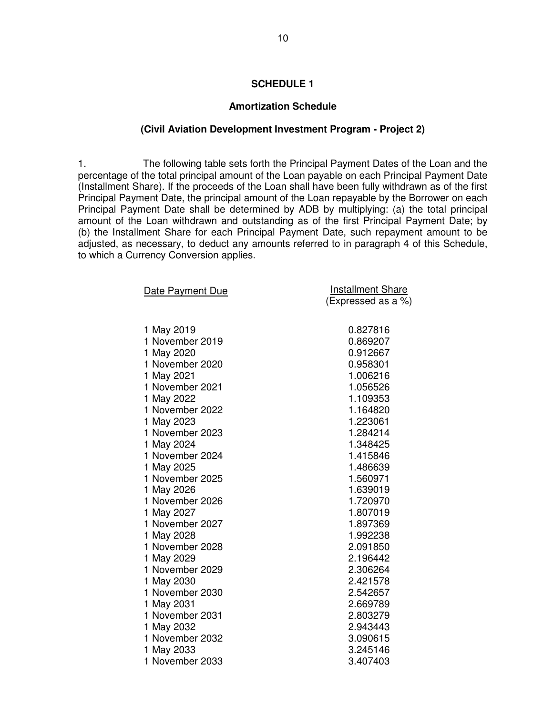#### **SCHEDULE 1**

#### **Amortization Schedule**

#### **(Civil Aviation Development Investment Program - Project 2)**

1. The following table sets forth the Principal Payment Dates of the Loan and the percentage of the total principal amount of the Loan payable on each Principal Payment Date (Installment Share). If the proceeds of the Loan shall have been fully withdrawn as of the first Principal Payment Date, the principal amount of the Loan repayable by the Borrower on each Principal Payment Date shall be determined by ADB by multiplying: (a) the total principal amount of the Loan withdrawn and outstanding as of the first Principal Payment Date; by (b) the Installment Share for each Principal Payment Date, such repayment amount to be adjusted, as necessary, to deduct any amounts referred to in paragraph 4 of this Schedule, to which a Currency Conversion applies.

| Date Payment Due | <b>Installment Share</b> |
|------------------|--------------------------|
|                  | (Expressed as a %)       |
| 1 May 2019       | 0.827816                 |
| 1 November 2019  | 0.869207                 |
| 1 May 2020       | 0.912667                 |
| 1 November 2020  | 0.958301                 |
| 1 May 2021       | 1.006216                 |
| 1 November 2021  | 1.056526                 |
| 1 May 2022       | 1.109353                 |
| 1 November 2022  | 1.164820                 |
| 1 May 2023       | 1.223061                 |
| 1 November 2023  | 1.284214                 |
| 1 May 2024       | 1.348425                 |
| 1 November 2024  | 1.415846                 |
| 1 May 2025       | 1.486639                 |
| 1 November 2025  | 1.560971                 |
| 1 May 2026       | 1.639019                 |
| 1 November 2026  | 1.720970                 |
| 1 May 2027       | 1.807019                 |
| 1 November 2027  | 1.897369                 |
| 1 May 2028       | 1.992238                 |
| 1 November 2028  | 2.091850                 |
| 1 May 2029       | 2.196442                 |
| 1 November 2029  | 2.306264                 |
| 1 May 2030       | 2.421578                 |
| 1 November 2030  | 2.542657                 |
| 1 May 2031       | 2.669789                 |
| 1 November 2031  | 2.803279                 |
| 1 May 2032       | 2.943443                 |
| 1 November 2032  | 3.090615                 |
| 1 May 2033       | 3.245146                 |
| 1 November 2033  | 3.407403                 |

10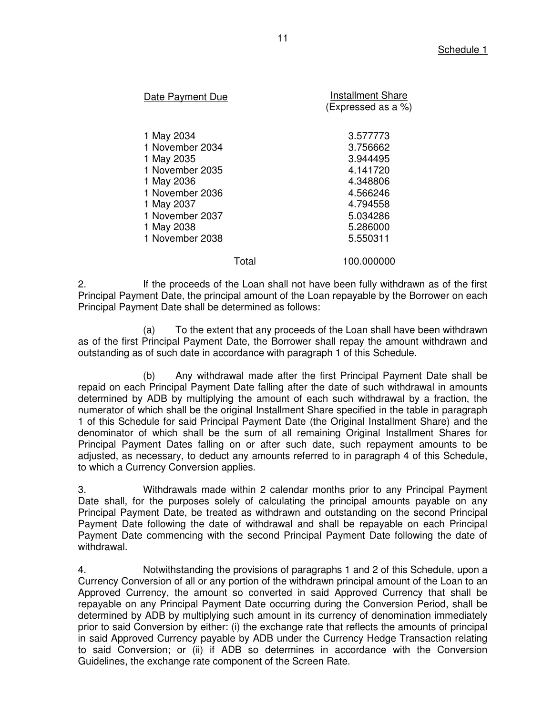| Date Payment Due                                                                                                                                                  | <b>Installment Share</b><br>(Expressed as a %)                                                                       |
|-------------------------------------------------------------------------------------------------------------------------------------------------------------------|----------------------------------------------------------------------------------------------------------------------|
| 1 May 2034<br>1 November 2034<br>1 May 2035<br>1 November 2035<br>1 May 2036<br>1 November 2036<br>1 May 2037<br>1 November 2037<br>1 May 2038<br>1 November 2038 | 3.577773<br>3.756662<br>3.944495<br>4.141720<br>4.348806<br>4.566246<br>4.794558<br>5.034286<br>5.286000<br>5.550311 |
| Total                                                                                                                                                             | 100.000000                                                                                                           |

2. If the proceeds of the Loan shall not have been fully withdrawn as of the first Principal Payment Date, the principal amount of the Loan repayable by the Borrower on each Principal Payment Date shall be determined as follows:

(a) To the extent that any proceeds of the Loan shall have been withdrawn as of the first Principal Payment Date, the Borrower shall repay the amount withdrawn and outstanding as of such date in accordance with paragraph 1 of this Schedule.

(b) Any withdrawal made after the first Principal Payment Date shall be repaid on each Principal Payment Date falling after the date of such withdrawal in amounts determined by ADB by multiplying the amount of each such withdrawal by a fraction, the numerator of which shall be the original Installment Share specified in the table in paragraph 1 of this Schedule for said Principal Payment Date (the Original Installment Share) and the denominator of which shall be the sum of all remaining Original Installment Shares for Principal Payment Dates falling on or after such date, such repayment amounts to be adjusted, as necessary, to deduct any amounts referred to in paragraph 4 of this Schedule, to which a Currency Conversion applies.

3. Withdrawals made within 2 calendar months prior to any Principal Payment Date shall, for the purposes solely of calculating the principal amounts payable on any Principal Payment Date, be treated as withdrawn and outstanding on the second Principal Payment Date following the date of withdrawal and shall be repayable on each Principal Payment Date commencing with the second Principal Payment Date following the date of withdrawal.

4. Notwithstanding the provisions of paragraphs 1 and 2 of this Schedule, upon a Currency Conversion of all or any portion of the withdrawn principal amount of the Loan to an Approved Currency, the amount so converted in said Approved Currency that shall be repayable on any Principal Payment Date occurring during the Conversion Period, shall be determined by ADB by multiplying such amount in its currency of denomination immediately prior to said Conversion by either: (i) the exchange rate that reflects the amounts of principal in said Approved Currency payable by ADB under the Currency Hedge Transaction relating to said Conversion; or (ii) if ADB so determines in accordance with the Conversion Guidelines, the exchange rate component of the Screen Rate.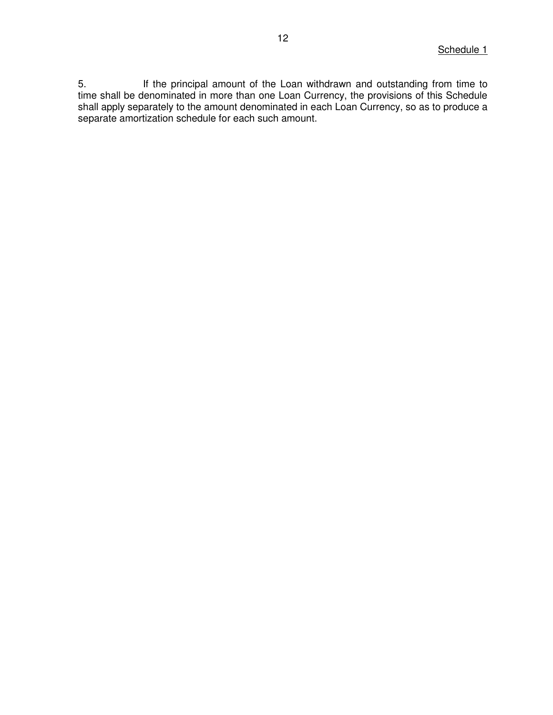5. If the principal amount of the Loan withdrawn and outstanding from time to time shall be denominated in more than one Loan Currency, the provisions of this Schedule shall apply separately to the amount denominated in each Loan Currency, so as to produce a separate amortization schedule for each such amount.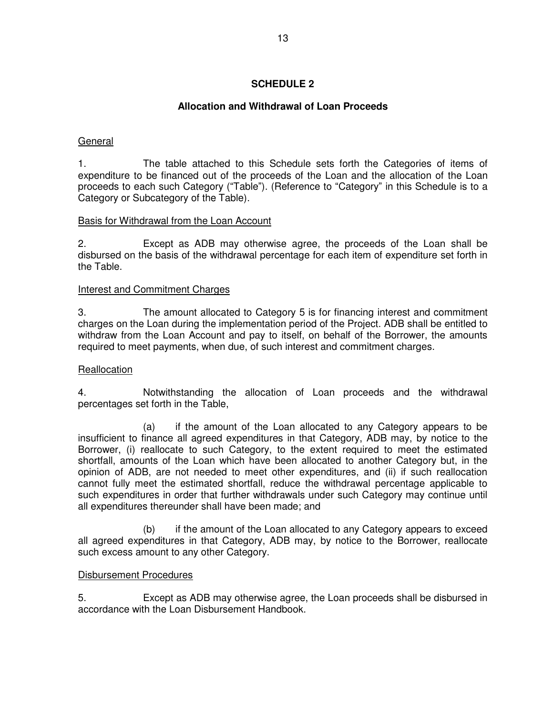### **SCHEDULE 2**

### **Allocation and Withdrawal of Loan Proceeds**

### General

1. The table attached to this Schedule sets forth the Categories of items of expenditure to be financed out of the proceeds of the Loan and the allocation of the Loan proceeds to each such Category ("Table"). (Reference to "Category" in this Schedule is to a Category or Subcategory of the Table).

### Basis for Withdrawal from the Loan Account

2. Except as ADB may otherwise agree, the proceeds of the Loan shall be disbursed on the basis of the withdrawal percentage for each item of expenditure set forth in the Table.

### Interest and Commitment Charges

3. The amount allocated to Category 5 is for financing interest and commitment charges on the Loan during the implementation period of the Project. ADB shall be entitled to withdraw from the Loan Account and pay to itself, on behalf of the Borrower, the amounts required to meet payments, when due, of such interest and commitment charges.

#### **Reallocation**

4. Notwithstanding the allocation of Loan proceeds and the withdrawal percentages set forth in the Table,

 (a) if the amount of the Loan allocated to any Category appears to be insufficient to finance all agreed expenditures in that Category, ADB may, by notice to the Borrower, (i) reallocate to such Category, to the extent required to meet the estimated shortfall, amounts of the Loan which have been allocated to another Category but, in the opinion of ADB, are not needed to meet other expenditures, and (ii) if such reallocation cannot fully meet the estimated shortfall, reduce the withdrawal percentage applicable to such expenditures in order that further withdrawals under such Category may continue until all expenditures thereunder shall have been made; and

 (b) if the amount of the Loan allocated to any Category appears to exceed all agreed expenditures in that Category, ADB may, by notice to the Borrower, reallocate such excess amount to any other Category.

#### Disbursement Procedures

5. Except as ADB may otherwise agree, the Loan proceeds shall be disbursed in accordance with the Loan Disbursement Handbook.